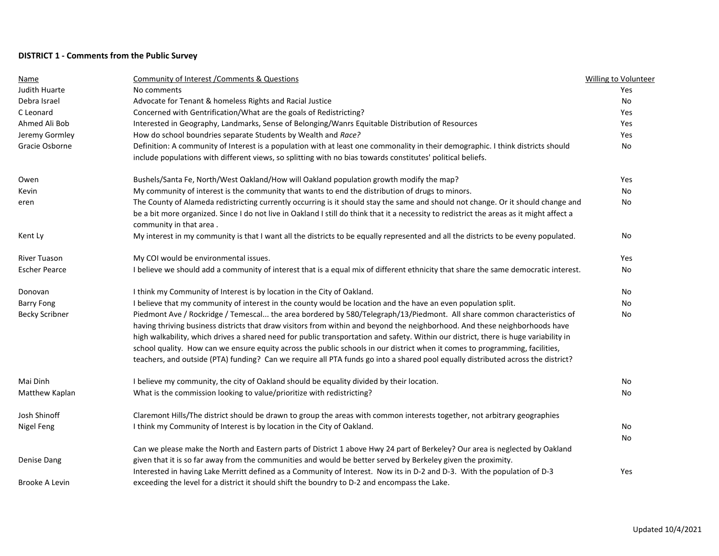## **DISTRICT 1 - Comments from the Public Survey**

| Name                  | <b>Community of Interest / Comments &amp; Questions</b>                                                                                                                                                                                         | Willing to Volunteer |
|-----------------------|-------------------------------------------------------------------------------------------------------------------------------------------------------------------------------------------------------------------------------------------------|----------------------|
| <b>Judith Huarte</b>  | No comments                                                                                                                                                                                                                                     | Yes                  |
| Debra Israel          | Advocate for Tenant & homeless Rights and Racial Justice                                                                                                                                                                                        | No                   |
| C Leonard             | Concerned with Gentrification/What are the goals of Redistricting?                                                                                                                                                                              | Yes                  |
| Ahmed Ali Bob         | Interested in Geography, Landmarks, Sense of Belonging/Wanrs Equitable Distribution of Resources                                                                                                                                                | Yes                  |
| Jeremy Gormley        | How do school boundries separate Students by Wealth and Race?                                                                                                                                                                                   | Yes                  |
| Gracie Osborne        | Definition: A community of Interest is a population with at least one commonality in their demographic. I think districts should<br>include populations with different views, so splitting with no bias towards constitutes' political beliefs. | No                   |
| Owen                  | Bushels/Santa Fe, North/West Oakland/How will Oakland population growth modify the map?                                                                                                                                                         | Yes                  |
| Kevin                 | My community of interest is the community that wants to end the distribution of drugs to minors.                                                                                                                                                | No                   |
| eren                  | The County of Alameda redistricting currently occurring is it should stay the same and should not change. Or it should change and                                                                                                               | No                   |
|                       | be a bit more organized. Since I do not live in Oakland I still do think that it a necessity to redistrict the areas as it might affect a<br>community in that area.                                                                            |                      |
| Kent Ly               | My interest in my community is that I want all the districts to be equally represented and all the districts to be eveny populated.                                                                                                             | No                   |
| River Tuason          | My COI would be environmental issues.                                                                                                                                                                                                           | Yes                  |
| <b>Escher Pearce</b>  | I believe we should add a community of interest that is a equal mix of different ethnicity that share the same democratic interest.                                                                                                             | No                   |
| Donovan               | I think my Community of Interest is by location in the City of Oakland.                                                                                                                                                                         | No                   |
| <b>Barry Fong</b>     | I believe that my community of interest in the county would be location and the have an even population split.                                                                                                                                  | No                   |
| <b>Becky Scribner</b> | Piedmont Ave / Rockridge / Temescal the area bordered by 580/Telegraph/13/Piedmont. All share common characteristics of                                                                                                                         | No                   |
|                       | having thriving business districts that draw visitors from within and beyond the neighborhood. And these neighborhoods have                                                                                                                     |                      |
|                       | high walkability, which drives a shared need for public transportation and safety. Within our district, there is huge variability in                                                                                                            |                      |
|                       | school quality. How can we ensure equity across the public schools in our district when it comes to programming, facilities,                                                                                                                    |                      |
|                       | teachers, and outside (PTA) funding? Can we require all PTA funds go into a shared pool equally distributed across the district?                                                                                                                |                      |
| Mai Dinh              | I believe my community, the city of Oakland should be equality divided by their location.                                                                                                                                                       | No                   |
| Matthew Kaplan        | What is the commission looking to value/prioritize with redistricting?                                                                                                                                                                          | No                   |
| Josh Shinoff          | Claremont Hills/The district should be drawn to group the areas with common interests together, not arbitrary geographies                                                                                                                       |                      |
| Nigel Feng            | I think my Community of Interest is by location in the City of Oakland.                                                                                                                                                                         | No                   |
|                       |                                                                                                                                                                                                                                                 | No                   |
|                       | Can we please make the North and Eastern parts of District 1 above Hwy 24 part of Berkeley? Our area is neglected by Oakland                                                                                                                    |                      |
| Denise Dang           | given that it is so far away from the communities and would be better served by Berkeley given the proximity.                                                                                                                                   |                      |
|                       | Interested in having Lake Merritt defined as a Community of Interest. Now its in D-2 and D-3. With the population of D-3                                                                                                                        | Yes                  |
| Brooke A Levin        | exceeding the level for a district it should shift the boundry to D-2 and encompass the Lake.                                                                                                                                                   |                      |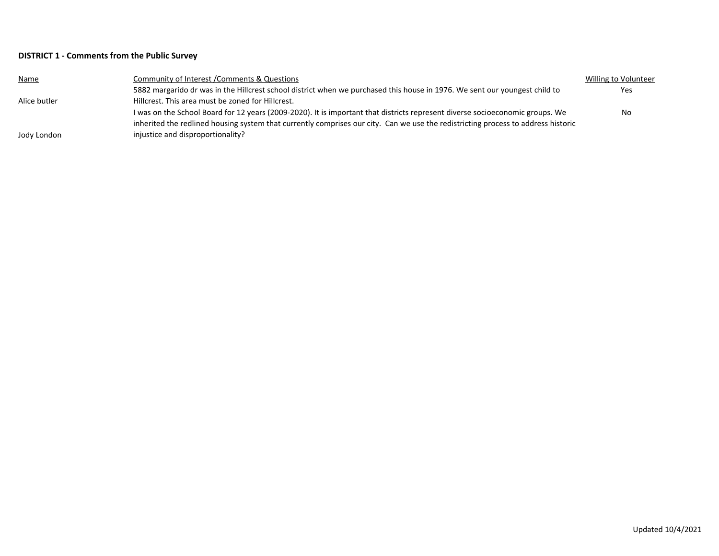## **DISTRICT 1 - Comments from the Public Survey**

| <b>Name</b>  | Community of Interest / Comments & Questions                                                                                      | Willing to Volunteer |
|--------------|-----------------------------------------------------------------------------------------------------------------------------------|----------------------|
|              | 5882 margarido dr was in the Hillcrest school district when we purchased this house in 1976. We sent our youngest child to        | Yes.                 |
| Alice butler | Hillcrest. This area must be zoned for Hillcrest.                                                                                 |                      |
|              | I was on the School Board for 12 years (2009-2020). It is important that districts represent diverse socioeconomic groups. We     | No.                  |
|              | inherited the redlined housing system that currently comprises our city. Can we use the redistricting process to address historic |                      |
| Jody London  | injustice and disproportionality?                                                                                                 |                      |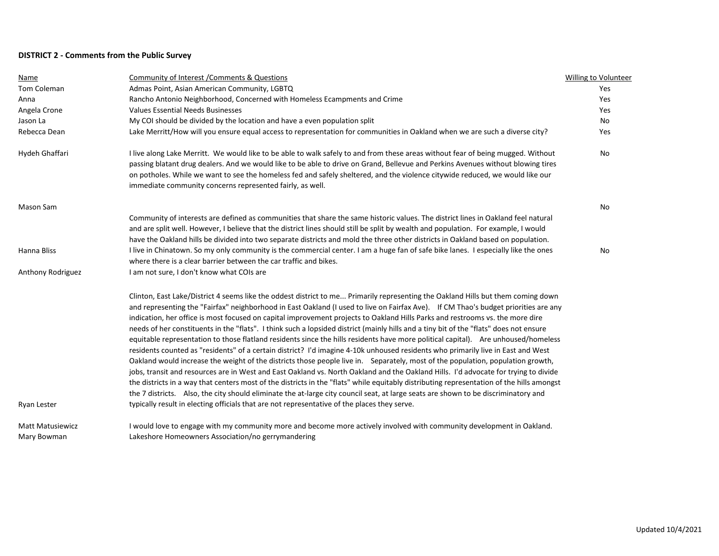## **DISTRICT 2 - Comments from the Public Survey**

| Name                    | Community of Interest / Comments & Questions                                                                                                                                                                                                                                                                                                                                                                                                                                                                                                                                                                                                                                                                                                                                                                                                                                                                                                                                                                                                                                                                                                                                                                                                                                                                                                                                                                                                                                              | Willing to Volunteer |
|-------------------------|-------------------------------------------------------------------------------------------------------------------------------------------------------------------------------------------------------------------------------------------------------------------------------------------------------------------------------------------------------------------------------------------------------------------------------------------------------------------------------------------------------------------------------------------------------------------------------------------------------------------------------------------------------------------------------------------------------------------------------------------------------------------------------------------------------------------------------------------------------------------------------------------------------------------------------------------------------------------------------------------------------------------------------------------------------------------------------------------------------------------------------------------------------------------------------------------------------------------------------------------------------------------------------------------------------------------------------------------------------------------------------------------------------------------------------------------------------------------------------------------|----------------------|
| Tom Coleman             | Admas Point, Asian American Community, LGBTQ                                                                                                                                                                                                                                                                                                                                                                                                                                                                                                                                                                                                                                                                                                                                                                                                                                                                                                                                                                                                                                                                                                                                                                                                                                                                                                                                                                                                                                              | Yes                  |
| Anna                    | Rancho Antonio Neighborhood, Concerned with Homeless Ecampments and Crime                                                                                                                                                                                                                                                                                                                                                                                                                                                                                                                                                                                                                                                                                                                                                                                                                                                                                                                                                                                                                                                                                                                                                                                                                                                                                                                                                                                                                 | Yes                  |
| Angela Crone            | <b>Values Essential Needs Businesses</b>                                                                                                                                                                                                                                                                                                                                                                                                                                                                                                                                                                                                                                                                                                                                                                                                                                                                                                                                                                                                                                                                                                                                                                                                                                                                                                                                                                                                                                                  | Yes                  |
| Jason La                | My COI should be divided by the location and have a even population split                                                                                                                                                                                                                                                                                                                                                                                                                                                                                                                                                                                                                                                                                                                                                                                                                                                                                                                                                                                                                                                                                                                                                                                                                                                                                                                                                                                                                 | <b>No</b>            |
| Rebecca Dean            | Lake Merritt/How will you ensure equal access to representation for communities in Oakland when we are such a diverse city?                                                                                                                                                                                                                                                                                                                                                                                                                                                                                                                                                                                                                                                                                                                                                                                                                                                                                                                                                                                                                                                                                                                                                                                                                                                                                                                                                               | Yes                  |
| Hydeh Ghaffari          | I live along Lake Merritt. We would like to be able to walk safely to and from these areas without fear of being mugged. Without                                                                                                                                                                                                                                                                                                                                                                                                                                                                                                                                                                                                                                                                                                                                                                                                                                                                                                                                                                                                                                                                                                                                                                                                                                                                                                                                                          | <b>No</b>            |
|                         | passing blatant drug dealers. And we would like to be able to drive on Grand, Bellevue and Perkins Avenues without blowing tires<br>on potholes. While we want to see the homeless fed and safely sheltered, and the violence citywide reduced, we would like our<br>immediate community concerns represented fairly, as well.                                                                                                                                                                                                                                                                                                                                                                                                                                                                                                                                                                                                                                                                                                                                                                                                                                                                                                                                                                                                                                                                                                                                                            |                      |
| Mason Sam               |                                                                                                                                                                                                                                                                                                                                                                                                                                                                                                                                                                                                                                                                                                                                                                                                                                                                                                                                                                                                                                                                                                                                                                                                                                                                                                                                                                                                                                                                                           | No                   |
|                         | Community of interests are defined as communities that share the same historic values. The district lines in Oakland feel natural<br>and are split well. However, I believe that the district lines should still be split by wealth and population. For example, I would<br>have the Oakland hills be divided into two separate districts and mold the three other districts in Oakland based on population.                                                                                                                                                                                                                                                                                                                                                                                                                                                                                                                                                                                                                                                                                                                                                                                                                                                                                                                                                                                                                                                                              |                      |
| Hanna Bliss             | I live in Chinatown. So my only community is the commercial center. I am a huge fan of safe bike lanes. I especially like the ones<br>where there is a clear barrier between the car traffic and bikes.                                                                                                                                                                                                                                                                                                                                                                                                                                                                                                                                                                                                                                                                                                                                                                                                                                                                                                                                                                                                                                                                                                                                                                                                                                                                                   | No                   |
| Anthony Rodriguez       | I am not sure, I don't know what COIs are                                                                                                                                                                                                                                                                                                                                                                                                                                                                                                                                                                                                                                                                                                                                                                                                                                                                                                                                                                                                                                                                                                                                                                                                                                                                                                                                                                                                                                                 |                      |
| Ryan Lester             | Clinton, East Lake/District 4 seems like the oddest district to me Primarily representing the Oakland Hills but them coming down<br>and representing the "Fairfax" neighborhood in East Oakland (I used to live on Fairfax Ave). If CM Thao's budget priorities are any<br>indication, her office is most focused on capital improvement projects to Oakland Hills Parks and restrooms vs. the more dire<br>needs of her constituents in the "flats". I think such a lopsided district (mainly hills and a tiny bit of the "flats" does not ensure<br>equitable representation to those flatland residents since the hills residents have more political capital). Are unhoused/homeless<br>residents counted as "residents" of a certain district? I'd imagine 4-10k unhoused residents who primarily live in East and West<br>Oakland would increase the weight of the districts those people live in. Separately, most of the population, population growth,<br>jobs, transit and resources are in West and East Oakland vs. North Oakland and the Oakland Hills. I'd advocate for trying to divide<br>the districts in a way that centers most of the districts in the "flats" while equitably distributing representation of the hills amongst<br>the 7 districts. Also, the city should eliminate the at-large city council seat, at large seats are shown to be discriminatory and<br>typically result in electing officials that are not representative of the places they serve. |                      |
| <b>Matt Matusiewicz</b> | I would love to engage with my community more and become more actively involved with community development in Oakland.                                                                                                                                                                                                                                                                                                                                                                                                                                                                                                                                                                                                                                                                                                                                                                                                                                                                                                                                                                                                                                                                                                                                                                                                                                                                                                                                                                    |                      |
| Mary Bowman             | Lakeshore Homeowners Association/no gerrymandering                                                                                                                                                                                                                                                                                                                                                                                                                                                                                                                                                                                                                                                                                                                                                                                                                                                                                                                                                                                                                                                                                                                                                                                                                                                                                                                                                                                                                                        |                      |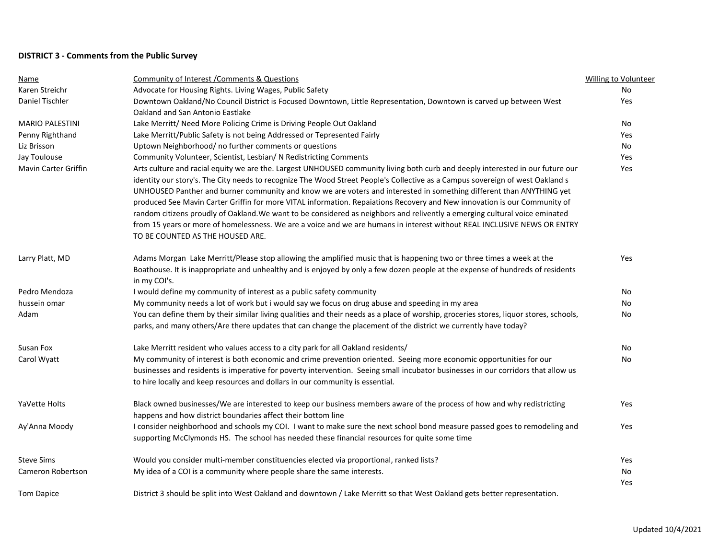## **DISTRICT 3 - Comments from the Public Survey**

| Name                   | <b>Community of Interest / Comments &amp; Questions</b>                                                                                | Willing to Volunteer |
|------------------------|----------------------------------------------------------------------------------------------------------------------------------------|----------------------|
| Karen Streichr         | Advocate for Housing Rights. Living Wages, Public Safety                                                                               | No                   |
| Daniel Tischler        | Downtown Oakland/No Council District is Focused Downtown, Little Representation, Downtown is carved up between West                    | Yes                  |
|                        | Oakland and San Antonio Eastlake                                                                                                       |                      |
| <b>MARIO PALESTINI</b> | Lake Merritt/ Need More Policing Crime is Driving People Out Oakland                                                                   | No                   |
| Penny Righthand        | Lake Merritt/Public Safety is not being Addressed or Tepresented Fairly                                                                | Yes                  |
| Liz Brisson            | Uptown Neighborhood/no further comments or questions                                                                                   | No                   |
| Jay Toulouse           | Community Volunteer, Scientist, Lesbian/ N Redistricting Comments                                                                      | Yes                  |
| Mavin Carter Griffin   | Arts culture and racial equity we are the. Largest UNHOUSED community living both curb and deeply interested in our future our         | Yes                  |
|                        | identity our story's. The City needs to recognize The Wood Street People's Collective as a Campus sovereign of west Oakland s          |                      |
|                        | UNHOUSED Panther and burner community and know we are voters and interested in something different than ANYTHING yet                   |                      |
|                        | produced See Mavin Carter Griffin for more VITAL information. Repaiations Recovery and New innovation is our Community of              |                      |
|                        | random citizens proudly of Oakland. We want to be considered as neighbors and relivently a emerging cultural voice eminated            |                      |
|                        | from 15 years or more of homelessness. We are a voice and we are humans in interest without REAL INCLUSIVE NEWS OR ENTRY               |                      |
|                        | TO BE COUNTED AS THE HOUSED ARE.                                                                                                       |                      |
| Larry Platt, MD        | Adams Morgan Lake Merritt/Please stop allowing the amplified music that is happening two or three times a week at the                  | Yes                  |
|                        | Boathouse. It is inappropriate and unhealthy and is enjoyed by only a few dozen people at the expense of hundreds of residents         |                      |
|                        | in my COI's.                                                                                                                           |                      |
| Pedro Mendoza          | I would define my community of interest as a public safety community                                                                   | No                   |
| hussein omar           | My community needs a lot of work but i would say we focus on drug abuse and speeding in my area                                        | No                   |
| Adam                   | You can define them by their similar living qualities and their needs as a place of worship, groceries stores, liquor stores, schools, | No                   |
|                        | parks, and many others/Are there updates that can change the placement of the district we currently have today?                        |                      |
| Susan Fox              | Lake Merritt resident who values access to a city park for all Oakland residents/                                                      | No                   |
| Carol Wyatt            | My community of interest is both economic and crime prevention oriented. Seeing more economic opportunities for our                    | No                   |
|                        | businesses and residents is imperative for poverty intervention. Seeing small incubator businesses in our corridors that allow us      |                      |
|                        | to hire locally and keep resources and dollars in our community is essential.                                                          |                      |
| YaVette Holts          | Black owned businesses/We are interested to keep our business members aware of the process of how and why redistricting                | Yes                  |
|                        | happens and how district boundaries affect their bottom line                                                                           |                      |
| Ay'Anna Moody          | I consider neighborhood and schools my COI. I want to make sure the next school bond measure passed goes to remodeling and             | Yes                  |
|                        | supporting McClymonds HS. The school has needed these financial resources for quite some time                                          |                      |
| <b>Steve Sims</b>      | Would you consider multi-member constituencies elected via proportional, ranked lists?                                                 | Yes                  |
| Cameron Robertson      | My idea of a COI is a community where people share the same interests.                                                                 | No                   |
|                        |                                                                                                                                        | Yes                  |
| <b>Tom Dapice</b>      | District 3 should be split into West Oakland and downtown / Lake Merritt so that West Oakland gets better representation.              |                      |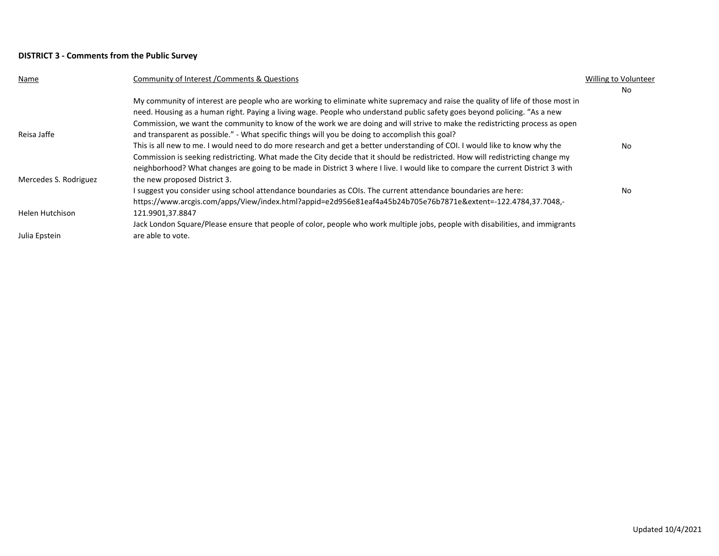## **DISTRICT 3 - Comments from the Public Survey**

| Name                  | Community of Interest / Comments & Questions                                                                                    | Willing to Volunteer |
|-----------------------|---------------------------------------------------------------------------------------------------------------------------------|----------------------|
|                       |                                                                                                                                 | No                   |
|                       | My community of interest are people who are working to eliminate white supremacy and raise the quality of life of those most in |                      |
|                       | need. Housing as a human right. Paying a living wage. People who understand public safety goes beyond policing. "As a new       |                      |
|                       | Commission, we want the community to know of the work we are doing and will strive to make the redistricting process as open    |                      |
| Reisa Jaffe           | and transparent as possible." - What specific things will you be doing to accomplish this goal?                                 |                      |
|                       | This is all new to me. I would need to do more research and get a better understanding of COI. I would like to know why the     | No                   |
|                       | Commission is seeking redistricting. What made the City decide that it should be redistricted. How will redistricting change my |                      |
|                       | neighborhood? What changes are going to be made in District 3 where I live. I would like to compare the current District 3 with |                      |
| Mercedes S. Rodriguez | the new proposed District 3.                                                                                                    |                      |
|                       | I suggest you consider using school attendance boundaries as COIs. The current attendance boundaries are here:                  | No                   |
|                       | https://www.arcgis.com/apps/View/index.html?appid=e2d956e81eaf4a45b24b705e76b7871e&extent=-122.4784,37.7048,-                   |                      |
| Helen Hutchison       | 121.9901,37.8847                                                                                                                |                      |
|                       | Jack London Square/Please ensure that people of color, people who work multiple jobs, people with disabilities, and immigrants  |                      |
| Julia Epstein         | are able to vote.                                                                                                               |                      |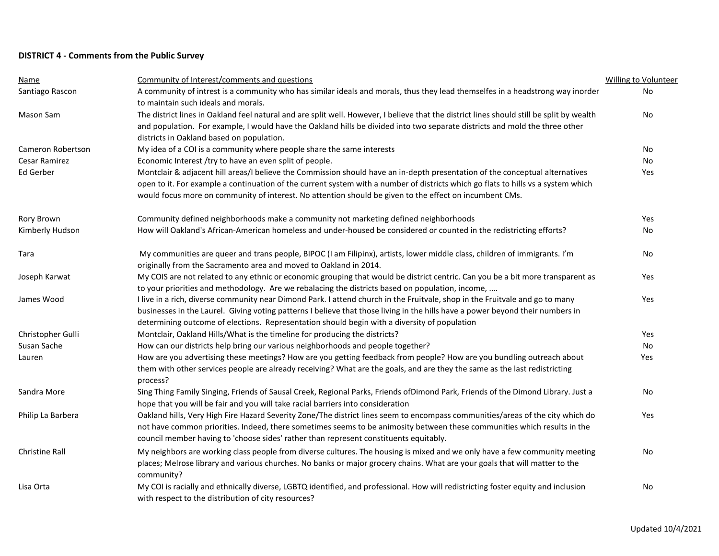## **DISTRICT 4 - Comments from the Public Survey**

| <b>Name</b>           | Community of Interest/comments and questions                                                                                                                                                                                                                                                                                                                   | <b>Willing to Volunteer</b> |
|-----------------------|----------------------------------------------------------------------------------------------------------------------------------------------------------------------------------------------------------------------------------------------------------------------------------------------------------------------------------------------------------------|-----------------------------|
| Santiago Rascon       | A community of intrest is a community who has similar ideals and morals, thus they lead themselfes in a headstrong way inorder<br>to maintain such ideals and morals.                                                                                                                                                                                          | No                          |
| Mason Sam             | The district lines in Oakland feel natural and are split well. However, I believe that the district lines should still be split by wealth<br>and population. For example, I would have the Oakland hills be divided into two separate districts and mold the three other                                                                                       | No                          |
|                       | districts in Oakland based on population.                                                                                                                                                                                                                                                                                                                      |                             |
| Cameron Robertson     | My idea of a COI is a community where people share the same interests                                                                                                                                                                                                                                                                                          | No                          |
| Cesar Ramirez         | Economic Interest /try to have an even split of people.                                                                                                                                                                                                                                                                                                        | No                          |
| Ed Gerber             | Montclair & adjacent hill areas/I believe the Commission should have an in-depth presentation of the conceptual alternatives                                                                                                                                                                                                                                   | Yes                         |
|                       | open to it. For example a continuation of the current system with a number of districts which go flats to hills vs a system which<br>would focus more on community of interest. No attention should be given to the effect on incumbent CMs.                                                                                                                   |                             |
| Rory Brown            | Community defined neighborhoods make a community not marketing defined neighborhoods                                                                                                                                                                                                                                                                           | Yes                         |
| Kimberly Hudson       | How will Oakland's African-American homeless and under-housed be considered or counted in the redistricting efforts?                                                                                                                                                                                                                                           | No                          |
| Tara                  | My communities are queer and trans people, BIPOC (I am Filipinx), artists, lower middle class, children of immigrants. I'm<br>originally from the Sacramento area and moved to Oakland in 2014.                                                                                                                                                                | <b>No</b>                   |
| Joseph Karwat         | My COIS are not related to any ethnic or economic grouping that would be district centric. Can you be a bit more transparent as<br>to your priorities and methodology. Are we rebalacing the districts based on population, income,                                                                                                                            | Yes                         |
| James Wood            | I live in a rich, diverse community near Dimond Park. I attend church in the Fruitvale, shop in the Fruitvale and go to many<br>businesses in the Laurel. Giving voting patterns I believe that those living in the hills have a power beyond their numbers in<br>determining outcome of elections. Representation should begin with a diversity of population | Yes                         |
| Christopher Gulli     | Montclair, Oakland Hills/What is the timeline for producing the districts?                                                                                                                                                                                                                                                                                     | Yes                         |
| Susan Sache           | How can our districts help bring our various neighborhoods and people together?                                                                                                                                                                                                                                                                                | No                          |
| Lauren                | How are you advertising these meetings? How are you getting feedback from people? How are you bundling outreach about<br>them with other services people are already receiving? What are the goals, and are they the same as the last redistricting<br>process?                                                                                                | Yes                         |
| Sandra More           | Sing Thing Family Singing, Friends of Sausal Creek, Regional Parks, Friends of Dimond Park, Friends of the Dimond Library. Just a<br>hope that you will be fair and you will take racial barriers into consideration                                                                                                                                           | No                          |
| Philip La Barbera     | Oakland hills, Very High Fire Hazard Severity Zone/The district lines seem to encompass communities/areas of the city which do<br>not have common priorities. Indeed, there sometimes seems to be animosity between these communities which results in the<br>council member having to 'choose sides' rather than represent constituents equitably.            | Yes                         |
| <b>Christine Rall</b> | My neighbors are working class people from diverse cultures. The housing is mixed and we only have a few community meeting<br>places; Melrose library and various churches. No banks or major grocery chains. What are your goals that will matter to the<br>community?                                                                                        | No                          |
| Lisa Orta             | My COI is racially and ethnically diverse, LGBTQ identified, and professional. How will redistricting foster equity and inclusion<br>with respect to the distribution of city resources?                                                                                                                                                                       | No                          |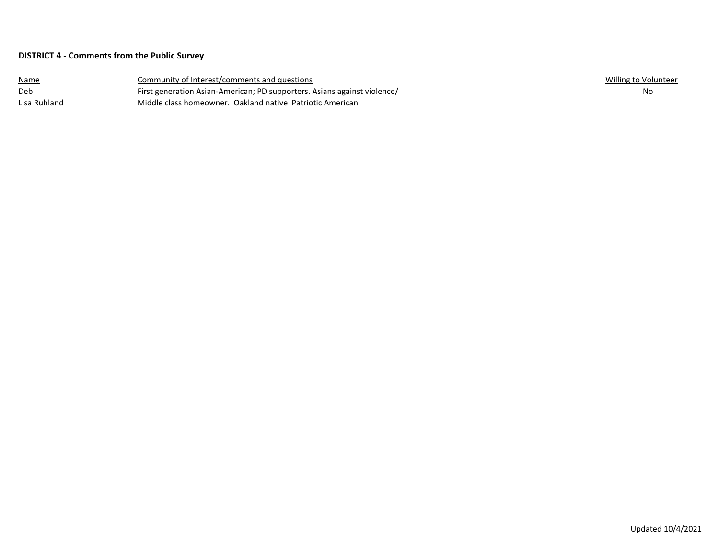## **DISTRICT 4 - Comments from the Public Survey**

| <u>Name</u>  | Community of Interest/comments and questions                             | Willing to Volunteer |
|--------------|--------------------------------------------------------------------------|----------------------|
| Deb          | First generation Asian-American; PD supporters. Asians against violence/ | No                   |
| Lisa Ruhland | Middle class homeowner. Oakland native Patriotic American                |                      |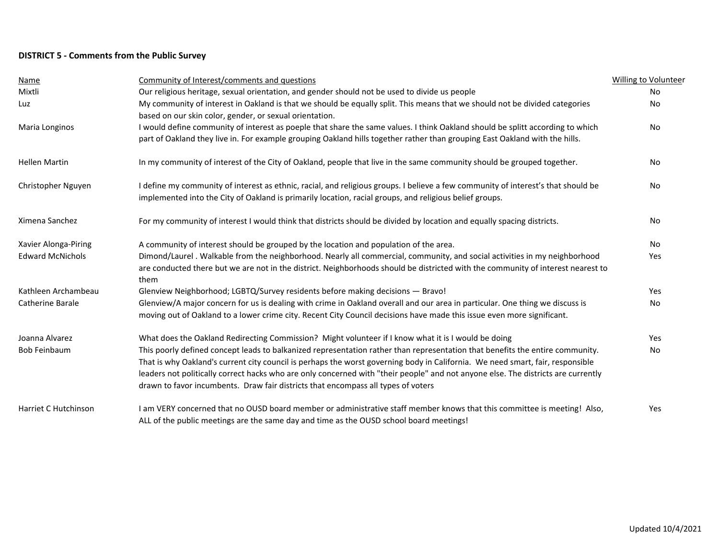# **DISTRICT 5 - Comments from the Public Survey**

| <b>Name</b>             | Community of Interest/comments and questions                                                                                             | <b>Willing to Volunteer</b> |
|-------------------------|------------------------------------------------------------------------------------------------------------------------------------------|-----------------------------|
| Mixtli                  | Our religious heritage, sexual orientation, and gender should not be used to divide us people                                            | No                          |
| Luz                     | My community of interest in Oakland is that we should be equally split. This means that we should not be divided categories              | No                          |
|                         | based on our skin color, gender, or sexual orientation.                                                                                  |                             |
| Maria Longinos          | I would define community of interest as poeple that share the same values. I think Oakland should be splitt according to which           | <b>No</b>                   |
|                         | part of Oakland they live in. For example grouping Oakland hills together rather than grouping East Oakland with the hills.              |                             |
| <b>Hellen Martin</b>    | In my community of interest of the City of Oakland, people that live in the same community should be grouped together.                   | No                          |
| Christopher Nguyen      | I define my community of interest as ethnic, racial, and religious groups. I believe a few community of interest's that should be        | No                          |
|                         | implemented into the City of Oakland is primarily location, racial groups, and religious belief groups.                                  |                             |
| Ximena Sanchez          | For my community of interest I would think that districts should be divided by location and equally spacing districts.                   | <b>No</b>                   |
| Xavier Alonga-Piring    | A community of interest should be grouped by the location and population of the area.                                                    | No                          |
| <b>Edward McNichols</b> | Dimond/Laurel . Walkable from the neighborhood. Nearly all commercial, community, and social activities in my neighborhood               | Yes                         |
|                         | are conducted there but we are not in the district. Neighborhoods should be districted with the community of interest nearest to<br>them |                             |
| Kathleen Archambeau     | Glenview Neighborhood; LGBTQ/Survey residents before making decisions - Bravo!                                                           | Yes                         |
| Catherine Barale        | Glenview/A major concern for us is dealing with crime in Oakland overall and our area in particular. One thing we discuss is             | No                          |
|                         | moving out of Oakland to a lower crime city. Recent City Council decisions have made this issue even more significant.                   |                             |
| Joanna Alvarez          | What does the Oakland Redirecting Commission? Might volunteer if I know what it is I would be doing                                      | Yes                         |
| <b>Bob Feinbaum</b>     | This poorly defined concept leads to balkanized representation rather than representation that benefits the entire community.            | No                          |
|                         | That is why Oakland's current city council is perhaps the worst governing body in California. We need smart, fair, responsible           |                             |
|                         | leaders not politically correct hacks who are only concerned with "their people" and not anyone else. The districts are currently        |                             |
|                         | drawn to favor incumbents. Draw fair districts that encompass all types of voters                                                        |                             |
| Harriet C Hutchinson    | I am VERY concerned that no OUSD board member or administrative staff member knows that this committee is meeting! Also,                 | Yes                         |
|                         | ALL of the public meetings are the same day and time as the OUSD school board meetings!                                                  |                             |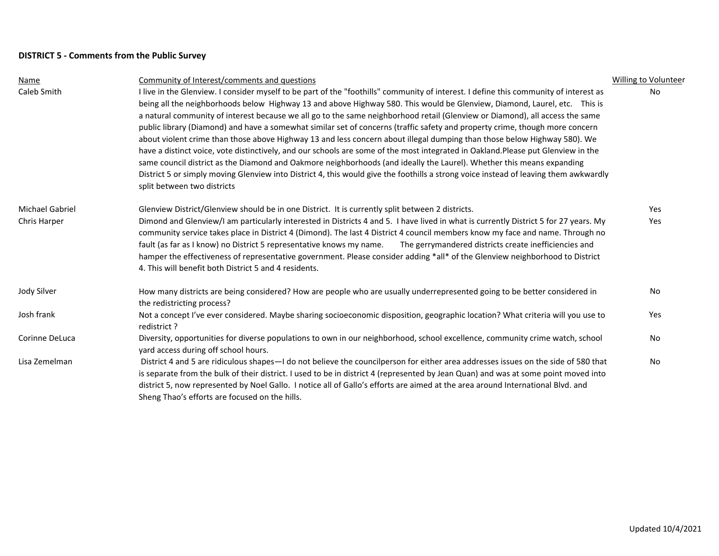# **DISTRICT 5 - Comments from the Public Survey**

| Name                   | Community of Interest/comments and questions                                                                                                                        | <b>Willing to Volunteer</b> |
|------------------------|---------------------------------------------------------------------------------------------------------------------------------------------------------------------|-----------------------------|
| Caleb Smith            | I live in the Glenview. I consider myself to be part of the "foothills" community of interest. I define this community of interest as                               | No                          |
|                        | being all the neighborhoods below Highway 13 and above Highway 580. This would be Glenview, Diamond, Laurel, etc. This is                                           |                             |
|                        | a natural community of interest because we all go to the same neighborhood retail (Glenview or Diamond), all access the same                                        |                             |
|                        | public library (Diamond) and have a somewhat similar set of concerns (traffic safety and property crime, though more concern                                        |                             |
|                        | about violent crime than those above Highway 13 and less concern about illegal dumping than those below Highway 580). We                                            |                             |
|                        | have a distinct voice, vote distinctively, and our schools are some of the most integrated in Oakland.Please put Glenview in the                                    |                             |
|                        | same council district as the Diamond and Oakmore neighborhoods (and ideally the Laurel). Whether this means expanding                                               |                             |
|                        | District 5 or simply moving Glenview into District 4, this would give the foothills a strong voice instead of leaving them awkwardly<br>split between two districts |                             |
| <b>Michael Gabriel</b> | Glenview District/Glenview should be in one District. It is currently split between 2 districts.                                                                    | Yes                         |
| Chris Harper           | Dimond and Glenview/I am particularly interested in Districts 4 and 5. I have lived in what is currently District 5 for 27 years. My                                | Yes                         |
|                        | community service takes place in District 4 (Dimond). The last 4 District 4 council members know my face and name. Through no                                       |                             |
|                        | The gerrymandered districts create inefficiencies and<br>fault (as far as I know) no District 5 representative knows my name.                                       |                             |
|                        | hamper the effectiveness of representative government. Please consider adding *all* of the Glenview neighborhood to District                                        |                             |
|                        | 4. This will benefit both District 5 and 4 residents.                                                                                                               |                             |
| Jody Silver            | How many districts are being considered? How are people who are usually underrepresented going to be better considered in                                           | No                          |
|                        | the redistricting process?                                                                                                                                          |                             |
| Josh frank             | Not a concept I've ever considered. Maybe sharing socioeconomic disposition, geographic location? What criteria will you use to<br>redistrict?                      | Yes                         |
| Corinne DeLuca         | Diversity, opportunities for diverse populations to own in our neighborhood, school excellence, community crime watch, school                                       | No.                         |
|                        | yard access during off school hours.                                                                                                                                |                             |
| Lisa Zemelman          | District 4 and 5 are ridiculous shapes-I do not believe the councilperson for either area addresses issues on the side of 580 that                                  | <b>No</b>                   |
|                        | is separate from the bulk of their district. I used to be in district 4 (represented by Jean Quan) and was at some point moved into                                 |                             |
|                        | district 5, now represented by Noel Gallo. I notice all of Gallo's efforts are aimed at the area around International Blvd. and                                     |                             |
|                        | Sheng Thao's efforts are focused on the hills.                                                                                                                      |                             |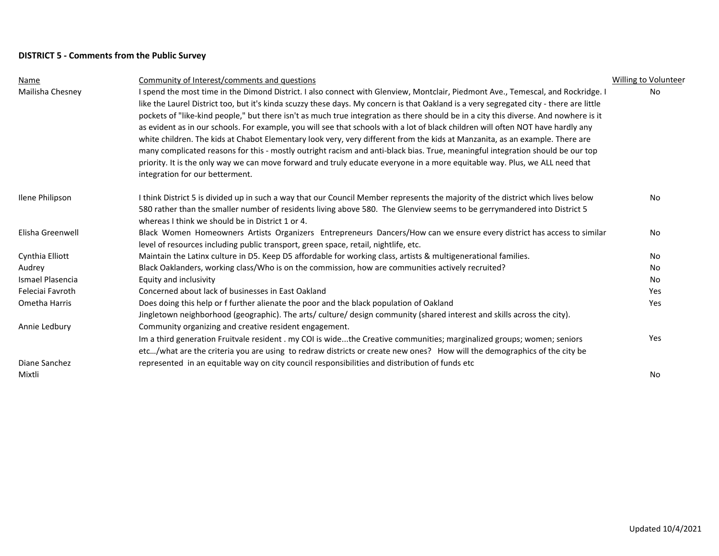# **DISTRICT 5 - Comments from the Public Survey**

| Name             | Community of Interest/comments and questions                                                                                            | <b>Willing to Volunteer</b> |
|------------------|-----------------------------------------------------------------------------------------------------------------------------------------|-----------------------------|
| Mailisha Chesney | I spend the most time in the Dimond District. I also connect with Glenview, Montclair, Piedmont Ave., Temescal, and Rockridge. I        | No                          |
|                  | like the Laurel District too, but it's kinda scuzzy these days. My concern is that Oakland is a very segregated city - there are little |                             |
|                  | pockets of "like-kind people," but there isn't as much true integration as there should be in a city this diverse. And nowhere is it    |                             |
|                  | as evident as in our schools. For example, you will see that schools with a lot of black children will often NOT have hardly any        |                             |
|                  | white children. The kids at Chabot Elementary look very, very different from the kids at Manzanita, as an example. There are            |                             |
|                  | many complicated reasons for this - mostly outright racism and anti-black bias. True, meaningful integration should be our top          |                             |
|                  | priority. It is the only way we can move forward and truly educate everyone in a more equitable way. Plus, we ALL need that             |                             |
|                  | integration for our betterment.                                                                                                         |                             |
| Ilene Philipson  | I think District 5 is divided up in such a way that our Council Member represents the majority of the district which lives below        | No.                         |
|                  | 580 rather than the smaller number of residents living above 580. The Glenview seems to be gerrymandered into District 5                |                             |
|                  | whereas I think we should be in District 1 or 4.                                                                                        |                             |
| Elisha Greenwell | Black Women Homeowners Artists Organizers Entrepreneurs Dancers/How can we ensure every district has access to similar                  | No                          |
|                  | level of resources including public transport, green space, retail, nightlife, etc.                                                     |                             |
| Cynthia Elliott  | Maintain the Latinx culture in D5. Keep D5 affordable for working class, artists & multigenerational families.                          | No                          |
| Audrey           | Black Oaklanders, working class/Who is on the commission, how are communities actively recruited?                                       | No.                         |
| Ismael Plasencia | Equity and inclusivity                                                                                                                  | No                          |
| Feleciai Favroth | Concerned about lack of businesses in East Oakland                                                                                      | Yes                         |
| Ometha Harris    | Does doing this help or f further alienate the poor and the black population of Oakland                                                 | Yes                         |
|                  | Jingletown neighborhood (geographic). The arts/ culture/ design community (shared interest and skills across the city).                 |                             |
| Annie Ledbury    | Community organizing and creative resident engagement.                                                                                  |                             |
|                  | Im a third generation Fruitvale resident . my COI is widethe Creative communities; marginalized groups; women; seniors                  | Yes                         |
|                  | etc/what are the criteria you are using to redraw districts or create new ones? How will the demographics of the city be                |                             |
| Diane Sanchez    | represented in an equitable way on city council responsibilities and distribution of funds etc                                          |                             |
| Mixtli           |                                                                                                                                         | No                          |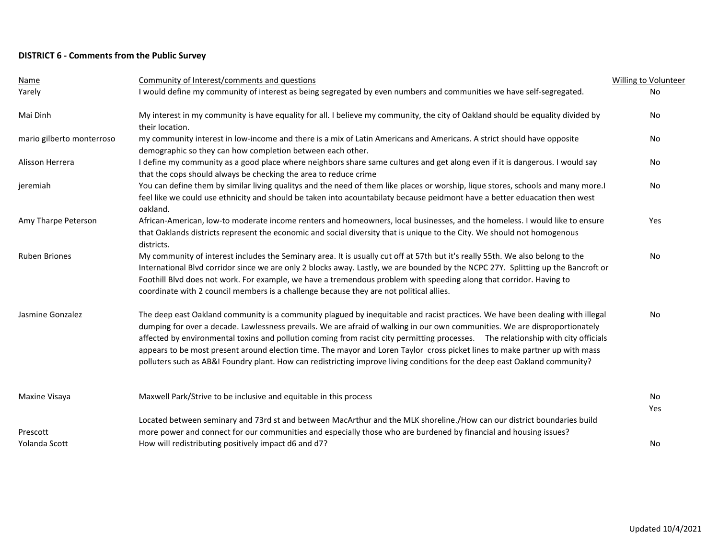# **DISTRICT 6 - Comments from the Public Survey**

| Name                      | Community of Interest/comments and questions                                                                                                                                                                                                                                                                                                                                                                                                                                                                                                                                                                                                                   | <b>Willing to Volunteer</b> |
|---------------------------|----------------------------------------------------------------------------------------------------------------------------------------------------------------------------------------------------------------------------------------------------------------------------------------------------------------------------------------------------------------------------------------------------------------------------------------------------------------------------------------------------------------------------------------------------------------------------------------------------------------------------------------------------------------|-----------------------------|
| Yarely                    | I would define my community of interest as being segregated by even numbers and communities we have self-segregated.                                                                                                                                                                                                                                                                                                                                                                                                                                                                                                                                           | <b>No</b>                   |
| Mai Dinh                  | My interest in my community is have equality for all. I believe my community, the city of Oakland should be equality divided by<br>their location.                                                                                                                                                                                                                                                                                                                                                                                                                                                                                                             | No                          |
| mario gilberto monterroso | my community interest in low-income and there is a mix of Latin Americans and Americans. A strict should have opposite<br>demographic so they can how completion between each other.                                                                                                                                                                                                                                                                                                                                                                                                                                                                           | No                          |
| Alisson Herrera           | I define my community as a good place where neighbors share same cultures and get along even if it is dangerous. I would say<br>that the cops should always be checking the area to reduce crime                                                                                                                                                                                                                                                                                                                                                                                                                                                               | No                          |
| jeremiah                  | You can define them by similar living qualitys and the need of them like places or worship, lique stores, schools and many more.I<br>feel like we could use ethnicity and should be taken into acountabilaty because peidmont have a better eduacation then west<br>oakland.                                                                                                                                                                                                                                                                                                                                                                                   | <b>No</b>                   |
| Amy Tharpe Peterson       | African-American, low-to moderate income renters and homeowners, local businesses, and the homeless. I would like to ensure<br>that Oaklands districts represent the economic and social diversity that is unique to the City. We should not homogenous<br>districts.                                                                                                                                                                                                                                                                                                                                                                                          | Yes                         |
| <b>Ruben Briones</b>      | My community of interest includes the Seminary area. It is usually cut off at 57th but it's really 55th. We also belong to the<br>International Blvd corridor since we are only 2 blocks away. Lastly, we are bounded by the NCPC 27Y. Splitting up the Bancroft or<br>Foothill Blvd does not work. For example, we have a tremendous problem with speeding along that corridor. Having to<br>coordinate with 2 council members is a challenge because they are not political allies.                                                                                                                                                                          | <b>No</b>                   |
| Jasmine Gonzalez          | The deep east Oakland community is a community plagued by inequitable and racist practices. We have been dealing with illegal<br>dumping for over a decade. Lawlessness prevails. We are afraid of walking in our own communities. We are disproportionately<br>affected by environmental toxins and pollution coming from racist city permitting processes. The relationship with city officials<br>appears to be most present around election time. The mayor and Loren Taylor cross picket lines to make partner up with mass<br>polluters such as AB&I Foundry plant. How can redistricting improve living conditions for the deep east Oakland community? | No                          |
| Maxine Visaya             | Maxwell Park/Strive to be inclusive and equitable in this process                                                                                                                                                                                                                                                                                                                                                                                                                                                                                                                                                                                              | No<br>Yes                   |
| Prescott                  | Located between seminary and 73rd st and between MacArthur and the MLK shoreline./How can our district boundaries build<br>more power and connect for our communities and especially those who are burdened by financial and housing issues?                                                                                                                                                                                                                                                                                                                                                                                                                   |                             |
| Yolanda Scott             | How will redistributing positively impact d6 and d7?                                                                                                                                                                                                                                                                                                                                                                                                                                                                                                                                                                                                           | No                          |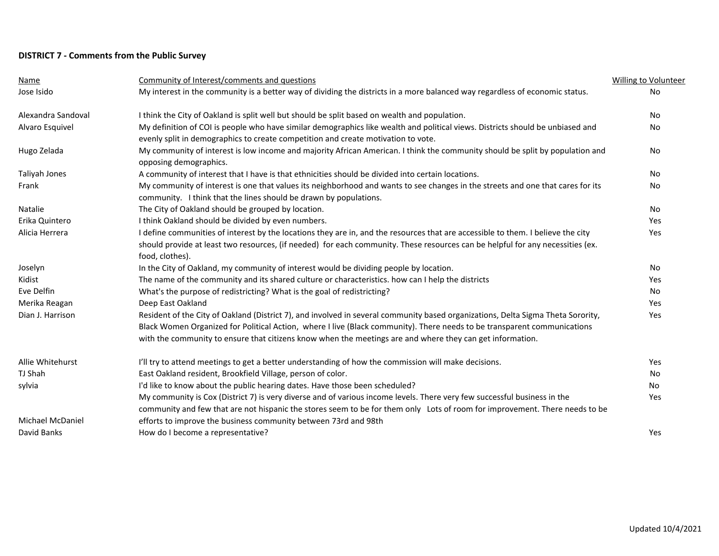# **DISTRICT 7 - Comments from the Public Survey**

| <b>Name</b>        | Community of Interest/comments and questions                                                                                                                                                                                                                                                                                                                              | Willing to Volunteer |
|--------------------|---------------------------------------------------------------------------------------------------------------------------------------------------------------------------------------------------------------------------------------------------------------------------------------------------------------------------------------------------------------------------|----------------------|
| Jose Isido         | My interest in the community is a better way of dividing the districts in a more balanced way regardless of economic status.                                                                                                                                                                                                                                              | No                   |
| Alexandra Sandoval | I think the City of Oakland is split well but should be split based on wealth and population.                                                                                                                                                                                                                                                                             | No                   |
| Alvaro Esquivel    | My definition of COI is people who have similar demographics like wealth and political views. Districts should be unbiased and<br>evenly split in demographics to create competition and create motivation to vote.                                                                                                                                                       | No                   |
| Hugo Zelada        | My community of interest is low income and majority African American. I think the community should be split by population and<br>opposing demographics.                                                                                                                                                                                                                   | No                   |
| Taliyah Jones      | A community of interest that I have is that ethnicities should be divided into certain locations.                                                                                                                                                                                                                                                                         | No                   |
| Frank              | My community of interest is one that values its neighborhood and wants to see changes in the streets and one that cares for its<br>community. I think that the lines should be drawn by populations.                                                                                                                                                                      | No                   |
| Natalie            | The City of Oakland should be grouped by location.                                                                                                                                                                                                                                                                                                                        | <b>No</b>            |
| Erika Quintero     | I think Oakland should be divided by even numbers.                                                                                                                                                                                                                                                                                                                        | Yes                  |
| Alicia Herrera     | I define communities of interest by the locations they are in, and the resources that are accessible to them. I believe the city<br>should provide at least two resources, (if needed) for each community. These resources can be helpful for any necessities (ex.<br>food, clothes).                                                                                     | Yes                  |
| Joselyn            | In the City of Oakland, my community of interest would be dividing people by location.                                                                                                                                                                                                                                                                                    | No                   |
| Kidist             | The name of the community and its shared culture or characteristics. how can I help the districts                                                                                                                                                                                                                                                                         | Yes                  |
| Eve Delfin         | What's the purpose of redistricting? What is the goal of redistricting?                                                                                                                                                                                                                                                                                                   | No                   |
| Merika Reagan      | Deep East Oakland                                                                                                                                                                                                                                                                                                                                                         | Yes                  |
| Dian J. Harrison   | Resident of the City of Oakland (District 7), and involved in several community based organizations, Delta Sigma Theta Sorority,<br>Black Women Organized for Political Action, where I live (Black community). There needs to be transparent communications<br>with the community to ensure that citizens know when the meetings are and where they can get information. | Yes                  |
| Allie Whitehurst   | I'll try to attend meetings to get a better understanding of how the commission will make decisions.                                                                                                                                                                                                                                                                      | Yes                  |
| TJ Shah            | East Oakland resident, Brookfield Village, person of color.                                                                                                                                                                                                                                                                                                               | No                   |
| sylvia             | I'd like to know about the public hearing dates. Have those been scheduled?                                                                                                                                                                                                                                                                                               | No                   |
|                    | My community is Cox (District 7) is very diverse and of various income levels. There very few successful business in the<br>community and few that are not hispanic the stores seem to be for them only Lots of room for improvement. There needs to be                                                                                                                   | Yes                  |
| Michael McDaniel   | efforts to improve the business community between 73rd and 98th                                                                                                                                                                                                                                                                                                           |                      |
| David Banks        | How do I become a representative?                                                                                                                                                                                                                                                                                                                                         | Yes                  |